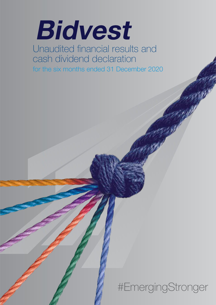# **Bidvest**

Unaudited financial results and cash dividend declaration for the six months ended 31 December 2020

#EmergingStronger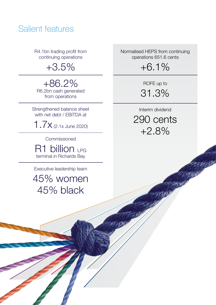# Salient features

R4.1bn trading profit from continuing operations

+3.5%

+86.2% R6.2bn cash generated from operations

Strengthened balance sheet with net debt / EBITDA at

1.7x (2.1x June 2020)

Commissioned

R1 billion LPG terminal in Richards Bay

Executive leadership team

45% women 45% black

Normalised HEPS from continuing operations 651.6 cents

+6.1%

ROFE up to 31.3%

Interim dividend 290 cents +2.8%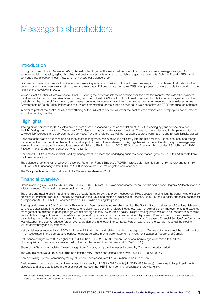## Message to shareholders

### **Introduction**

During the six months to December 2020, Bidvest pulled together like never before, strengthening our resolve to emerge stronger. Our entrepreneurial philosophy, agility, discipline and customer centricity enabled us to deliver a good set of results. Solid profit and HEPS growth converted into exceptional cash flow which enhanced our balance sheet.

Our people, many of whom are frontline workers, were key enablers in delivering this outcome. We are particularly pleased that today 95% of our employees have been able to return to work, a massive shift from the approximately 75% of employees that were unable to work during the height of the lockdown in 2020.

We sadly lost a further 44 employees to COVID-19 during the period as infections peaked over the past few months. We extend our sincere condolences to their families, friends and colleagues. The Bidvest COVID-19 Fund continued to support South African employees during the past six months. In the UK and Ireland, employees continued to receive support from their respective government employee relief schemes. Governments of South Africa, Ireland and the UK are commended for the support provided to livelihoods through TERS and furlough schemes.

In order to protect the health, safety and wellbeing of the Bidvest family, we will cover the cost of vaccinations of our employees not on medical aid in the coming months.

### **Highlights**

Trading profit increased by 3.5%, off a pre-pandemic base, enhanced by the consolidation of PHS, the leading hygiene service provider in the UK. During the six months to December 2020, demand was disparate across industries. There was good demand for hygiene and facility services, DIY products and bulk commodity services. Travel and related, as well as hospitality, sectors were hard hit and remain, largely, closed.

Bidvest's focus was on expense and balance sheet management while delivering efficiently into market demand. Exceptional cost and margin management across the Group limited the negative profit impact of lower demand. This, together with excellent working capital management, resulted in cash generated by operations almost doubling to R6.2 billion (H1 2020: R3.3 billion). Free cash flow totalled R3.1 billion (H1 2020: R306.9 million). Group cash conversion was 124.3%.

Normalised HEPS1 , a measurement used by management to assess the underlying business performance, grew by 6.1% to 651.6 cents from continuing operations.

The balance sheet strengthened over the period. Return on Funds Employed (ROFE) improved significantly from 17.8% at year end to 31.3%. ROIC of 12.9%, unchanged from 30 June 2020, is above the Group's weighted cost of capital.

The Group declared an interim dividend of 290 cents per share, up 2.8%.

### Financial overview

Group revenue grew 3.4% to R44.4 billion (H1 2020: R43.0 billion). PHS was consolidated for six months and Adcock Ingram ("Adcock") for one additional month. Organically, revenue declined by 5.1%.

The gross and trading profit margins remained broadly flat at 30.2% and 9.2%, respectively. PHS boosted margins, but the benefit was offset by pressure in Branded Products, Financial Services and the travel and related businesses in Services. On a like-for-like basis, expenses decreased an impressive 9.6%. COVID-19 charges totalled R83.9 million during the period.

Trading profit grew by 3.5%. Commercial Products and Services delivered excellent results. The South African businesses of Services delivered a solid result after taking into account the exposure to decimated travel and related industries. Automotive's efficiency improvements and expense management culminated in good profit growth despite significantly lower vehicle sales. Freight's trading profit was solid as the terminals handled greater bulk and agricultural volumes while other general import and export volumes remained depressed. Branded Products was resilient considering the significant demand disruption caused by the work-from-home phenomena and a no flu season. Financial Services' performance was disappointing due to reduced foreign exchange demand and lower interest rates. Foreign exchange rate swings impacted the closing values of inventory and investments.

Net capital losses reduced from R300.1 million to R134.0 million and related mainly to the disposal of Ontime Automotive and the impairment of minor associates. In the comparative period, net negative adjustments were made to the investment values of Adcock and Comair.

Net finance charges were 3.6% higher at R734.4 million (H1 2020: R709.2 million). Additional borrowings were raised to fund the PHS acquisition. The Group's average cost of funding decreased to 4.6% pre-tax (H1 2020: 6.5%).

Share of profits from associates flowed through from Adcock, compared to losses incurred by Comair in the prior period.

The Group's effective tax rate, excluding non-taxable MIAL losses and capital items, was 28.8% (H1 2020: 28.8%).

Non-controlling interest, comprising mainly of Adcock, decreased from R194.3 million to R147.7 million.

Basic earnings per share from continuing operations grew by 17.2% to 562.3 cents (H1 2020: 479.9 cents) mainly due to large impairments, disposals and associate losses in the prior period not recurring. HEPS from continuing operations grew by 6.3%.

*<sup>(1)</sup> Normalised HEPS, which excludes acquisition costs, amortisation of acquired customer contracts and COVID-19 costs, is a measurement management uses to assess the underlying business performance*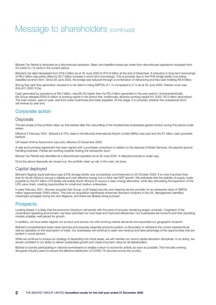# Message to shareholders (continued)

Bidvest Car Rental is disclosed as a discontinued operation. Basic and headline losses per share from discontinued operations increased from 3.0 cents to 7.5 cents in the current period.

Bidvest's net debt decreased from R19.2 billion as at 30 June 2020 to R15.8 billion at the end of December. A reduction in long-term borrowings of R6.4 billion was partly offset by R2.7 billion increase in short-term borrowings. This is primarily due to the PHS bridge facility now being classified as short-term. Since 30 June 2020, the bridge was reduced through a combination of refinancing and free cash totalling R6.8 billion.

Strong free cash flow generation resulted in a net debt to rolling EBITDA of 1.7x compared to 2.1x as at 30 June 2020. Interest cover was 8.6x (H1 2020: 8.2x).

Cash generated by operations at R6.2 billion, was 86.2% higher than the R3.3 billion generated in the prior period. Uncharacteristically, the Group released R335.8 million of working capital in the period that, traditionally, absorbs working capital (H1 2020: R2.0 billion absorption). The main impact, year-on-year, was from lower inventories and trade payables. At this stage, it is uncertain whether this unseasonal trend will reverse by year end.

### Corporate action

#### **Disposals**

The last phase of the portfolio clean up that started after the unbundling of the foodservices businesses gained traction during this period under review.

Effective 5 February 2021, Bidvest's 6.75% stake in the Mumbai International Airport Limited (MIAL) was sold and the R1 billion cash proceeds banked.

UK-based Ontime Automotive was sold, effective 23 December 2020.

A sale and purchase agreement has been signed with a purchaser consortium in relation to the disposal of Bidair Services, the airports ground handling business. Parties are working towards closing the transaction soon.

Bidvest Car Rental was identified as a discontinued operation as at 30 June 2020. A disposal process is under way.

Once the above disposals are closed out, the portfolio clean up will, in the main, be done.

### Capital deployed

Bidvest's flagship liquid petroleum gas (LPG) storage facility was successfully commissioned on 22 October 2020. It is more important than ever for South Africa to secure a reliable and cost-effective energy mix to drive real GDP growth. We anticipate that the stability of supply made possible by this R1 billion LPG facility will enable South Africans to source a clean energy alternative, while also stimulating the expansion of the LPG value chain, creating opportunities for small and medium enterprises.

In early February 2021, Noonan acquired Axis Group, a UK-based security and cleaning service provider, for an enterprise value of GBP24 million (approximately R480 million). This bolt-on acquisition significantly enhances Noonan's footprint in the UK. Management identified meaningful synergies during the due diligence, and these are already being pursued.

### **Prospects**

Looking ahead, it is likely that the economic downturn will persist with the pace of recovery remaining largely uncertain. Cognisant of the constrained operating environment, we have optimised our cost base and improved efficiencies. Our businesses are future-fit and their operating models scalable, well placed for growth.

In addition, we have better aligned our product and service mix with evolving market demands and expanded our geographic footprint.

Bidvest's comprehensive basic-need services and everyday essential products position us favourably to withstand the current headwinds as well as capitalise on the resumption of trade. Our businesses will continue to seek new revenue and take advantage of the opportunities that are evident in some sectors.

While we continue to pursue our strategy of expanding into niche areas, we will maintain our sound capital allocation disciplines. In so doing, we remain confident in our ability to deliver sustainable growth and create long-term value for all stakeholders.

Bidvest is actively participating in national workstreams to enable a return to economic activity as soon as possible. This includes working alongside industry peers to ensure the effective distribution of COVID-19 vaccines across the country.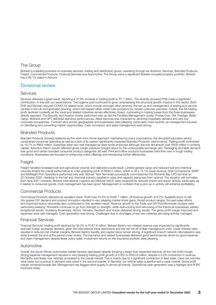### The Group

Bidvest is a leading business-to-business services, trading and distribution group, operating through six divisions: Services, Branded Products, Freight, Commercial Products, Financial Services and Automotive. The Group owns a significant Bidvest occupied property portfolio. Bidvest has a 56.1% stake in Adcock.

### Divisional review

#### **Services**

Services delivered a great result, reporting a 37.9% increase in trading profit to R1.7 billion. The recently acquired PHS made a significant contribution, in line with our expectations. The hygiene pool continued to grow, emphasising the structural growth impetus in this sector. Both PHS and Noonan secured COVID-19-related work, which include amongst other services, the set up and management of testing and vaccine centres in the UK and specialist cleaning, which has helped offset credit note provisions for closed customer premises. Overall, the SA trading profit declined modestly as the travel and related industries remain effectively closed, culminating in trading losses from the three businesses directly exposed. The Security and Aviation cluster performed well, as did the Facilities Management cluster. Protea Coin, FM, Prestige, Bidair Cargo, Bidtrack and GPT delivered standout performances. Allied Services was impacted by declining hospitality demand and very low corporate occupancies. Contract wins across geographies and businesses were pleasing, particularly more recently, as management focused on identifying and converting market opportunities. Cash conversion and asset management were strong.

### Branded Products

Branded Products showed resilience as the work-from-home approach maintained by many corporations, the disrupted education sector, constrained consumer spending as well as a lack of flu season significantly impacted Branded Products' performance. Trading profit contracted by 18.7% to R804 million. Expenses were very well managed as were funds employed although Adcock did absorb over R500 million in working capital. Adcock's interim results reflected gross margin pressure brought about by the unfavourable exchange rate. Packaging and label demand was good and certain branded consumer product categories did well. Print and office products businesses held their own in tough trading conditions. Businesses are focused on enhancing online offerings and introducing further efficiencies.

### Freight

Freight handled increased bulk and agricultural volumes and delivered a solid result. Limited general cargo and reduced fuel and chemical volumes limited the overall performance to a flat operating profit of R646.4 million, which is off a 13.1% lower revenue. Bulk Connections, SABT and Bidfreight Port Operations performed very well. Bidvest Tank Terminals successfully commissioned the Richards Bay LPG terminal on 22 October 2020. Hardship in the fuel and chemical industry resulted in rates and capacity being less than optimal. The situation will normalise from April 2021 onwards. Bidvest International Logistics and Bidvest SACD were impacted by reduced import and export activity, particularly as it relates to consumer goods. Cost management has been good. Management is confident that a pick-up in activity will enhance profitability.

### Commercial Products

Commercial Products delivered an excellent result. Profit rose 44.4% to R495.7 million, off revenue growth of 6.7%. Available stock to sell into greater DIY demand and product innovation resulted in very pleasing market share gains. Broad product ranges, focused sales efforts and improved factory recoveries also contributed to this excellent result. Revenue growth in the Trade and DIY/Tool/Workwear clusters were particularly pleasing. Plumblink continues to go from strength to strength, while restructuring and refocusing of the Electrical businesses yielded exceptional results. Academy Brushware, Afcom, Yamaha, Renttech and Vulcan delivered strong results. The gross profit margin improved and expenses were well managed. Cash generation was strong. Challenges due to shortages of key raw materials are being actively managed.

#### Financial Services

Financial Services' trading profit declined by 39.3% to R167.9 million. Bidvest Bank's non-interest revenue was impacted by significantly reduced foreign exchange demand, given the international travel restrictions and the net roll-off of fleet management units. Lower interest rates resulted in reduced net interest margins. Bidvest Bank's liquidity and capital ratios remain strong. A significant branch network rationalisation was done towards the end of the period under review. The insurance and related businesses delivered good performances driven by good expense and claim management despite fewer policy sales. Investment returns on the insurance portfolio were pleasing.

#### Automotive

Overall, the South African automotive market remains depressed despite showing a faster than expected rebound off the mid-2020 trough. Strong expense management resulted in very pleasing trading profit growth of 5.6% to R323.8 million, despite a 5.4% contraction in revenue. McCarthy sold fewer new vehicles compared to the overall market. This is mainly due to a significant contraction in fleet sales. Used car volumes were lower, but a pickup in demand was noted in the second quarter. In Namibia, our vehicle sales outperformed a weak market. Gross profit margin remained broadly flat. Management has flagged short supply in almost all brands. Operational cash generation was a highlight and ROFE improved nicely.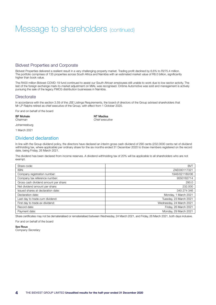# Message to shareholders (continued)

### Bidvest Properties and Corporate

Bidvest Properties delivered a resilient result in a very challenging property market. Trading profit declined by 6.6% to R275.4 million. The portfolio comprises of 135 properties across South Africa and Namibia with an estimated market value of R8.0 billion, significantly higher than book value.

The R400 million Bidvest COVID-19 fund continued to assist our South African employees still unable to work due to low sector activity. The last of the foreign exchange mark-to-market adjustment on MIAL was recognised. Ontime Automotive was sold and management is actively pursuing the sale of the legacy FMCG distribution businesses in Namibia.

#### **Directorate**

In accordance with the section 3.59 of the JSE Listings Requirements, the board of directors of the Group advised shareholders that Mr LP Ralphs retired as chief executive of the Group, with effect from 1 October 2020.

For and on behalf of the board

### BF Mohale NT Madisa

*Chairman Chief executive*

Johannesburg

1 March 2021

### Dividend declaration

In line with the Group dividend policy, the directors have declared an interim gross cash dividend of 290 cents (232.0000 cents net of dividend withholding tax, where applicable) per ordinary share for the six months ended 31 December 2020 to those members registered on the record date, being Friday, 26 March 2021.

The dividend has been declared from income reserves. A dividend withholding tax of 20% will be applicable to all shareholders who are not exempt.

| Share code:                           | <b>BVT</b>               |
|---------------------------------------|--------------------------|
| ISIN:                                 | ZAE000117321             |
| Company registration number:          | 1946/021180/06           |
| Company tax reference number:         | 9550162714               |
| Gross cash dividend amount per share: | 290.0                    |
| Net dividend amount per share:        | 232.000                  |
| Issued shares at declaration date:    | 340 274 346              |
| Declaration date:                     | Monday, 1 March 2021     |
| Last day to trade cum dividend:       | Tuesday, 23 March 2021   |
| First day to trade ex-dividend:       | Wednesday, 24 March 2021 |
| Record date:                          | Friday, 26 March 2021    |
| Payment date:                         | Monday, 29 March 2021    |

Share certificates may not be dematerialised or rematerialised between Wednesday, 24 March 2021, and Friday, 26 March 2021, both days inclusive.

For and on behalf of the board

Ilze Roux

*Company Secretary*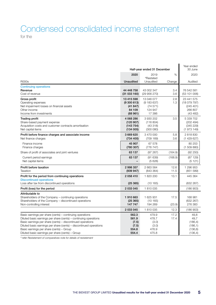### Condensed consolidated income statement for the

|                                                                                              | Half-year ended 31 December |                                    |         | Year ended<br>30 June  |
|----------------------------------------------------------------------------------------------|-----------------------------|------------------------------------|---------|------------------------|
|                                                                                              | 2020                        | 2019                               | %       | 2020                   |
| R000s                                                                                        | <b>Unaudited</b>            | <sup>o</sup> Restated<br>Unaudited | Change  | Audited                |
| <b>Continuing operations</b>                                                                 |                             |                                    |         |                        |
| Revenue                                                                                      | 44 448 758                  | 43 002 347                         | 3.4     | 76 542 581             |
| Cost of revenue                                                                              | (31033160)                  | (29 956 270)                       | 3.6     | (53 101 006)           |
| Gross profit                                                                                 | 13 415 598                  | 13 046 077                         | 2.8     | 23 441 575             |
| Operating expenses                                                                           | (9300613)                   | (9183637)                          | 1.3     | (18079797)             |
| Net impairment losses on financial assets                                                    | (41847)                     | (74571)                            |         | (245 401)              |
| Other income<br>Income from investments                                                      | 84 109<br>(88961)           | 124 947<br>17 386                  |         | 266 807<br>(43 482)    |
|                                                                                              |                             |                                    |         |                        |
| <b>Trading profit</b><br>Share-based payment expense                                         | 4 068 286<br>(120907)       | 3 930 202<br>(116804)              | 3.5     | 5 339 702<br>(202 494) |
| Acquisition costs and customer contracts amortisation                                        | (143754)                    | (43318)                            |         | (345 229)              |
| Net capital items                                                                            | (134005)                    | (300080)                           |         | (1973149)              |
| Profit before finance charges and associate income                                           | 3 669 620                   | 3 470 000                          | 5.8     | 2818830                |
| Net finance charges                                                                          | (734 400)                   | (709 169)                          | 3.6     | (1429627)              |
| Finance income                                                                               | 45 907                      | 67 578                             |         | 80 253                 |
| Finance charges                                                                              | (780 307)                   | (776747)                           |         | (1509880)              |
| Share of profit of associates and joint ventures                                             | 63 137                      | (97267)                            | (164.9) | (92 250)               |
| Current period earnings                                                                      | 63 137                      | (91639)                            | (168.9) | (87129)                |
| Net capital items                                                                            |                             | (5628)                             |         | (5121)                 |
| Profit before taxation                                                                       | 2 998 357                   | 2 663 564                          | 12.6    | 1 296 953              |
| Taxation                                                                                     | (939947)                    | (843 364)                          | 11.5    | (851 589)              |
| Profit for the period from continuing operations                                             | 2 058 410                   | 1820200                            | 13.1    | 445 364                |
| <b>Discontinued operations</b>                                                               |                             |                                    |         |                        |
| Loss after tax from discontinued operations                                                  | (25365)                     | (10165)                            |         | (632 267)              |
| Profit (loss) for the period                                                                 | 2 033 045                   | 1810035                            |         | (186903)               |
| Attributable to                                                                              |                             |                                    |         |                        |
| Shareholders of the Company – continuing operations                                          | 1910663                     | 1 625 931                          | 17.5    | 168 981                |
| Shareholders of the Company - discontinued operations                                        | (25365)<br>147 747          | (10165)<br>194 269                 |         | (632 267)<br>276 383   |
| Non-controlling interest                                                                     |                             |                                    | (23.9)  |                        |
|                                                                                              | 2 033 045                   | 1810035                            | 12.3    | (186903)               |
| Basic earnings per share (cents) - continuing operations                                     | 562.3                       | 479.9                              | 17.2    | 49,8                   |
| Diluted basic earnings per share (cents) – continuing operations                             | 561.9                       | 478.7                              | 17.4    | 49,7                   |
| Basic earnings per share (cents) - discontinued operations                                   | (7.5)                       | (3.0)                              |         | (186, 4)               |
| Diluted basic earnings per share (cents) – discontinued operations                           | (7.5)                       | (3.0)                              |         | (186, 1)               |
| Basic earnings per share (cents) - Group<br>Diluted basic earnings per share (cents) - Group | 554.8<br>554.4              | 476.9<br>475.8                     |         | (136, 6)<br>(136, 4)   |
|                                                                                              |                             |                                    |         |                        |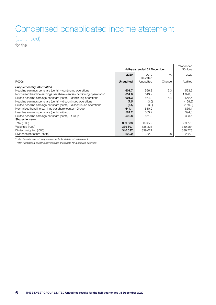# Condensed consolidated income statement (continued)

for the

|                                                                         | Half-year ended 31 December |                       |        | Year ended<br>30 June |
|-------------------------------------------------------------------------|-----------------------------|-----------------------|--------|-----------------------|
|                                                                         | 2020                        | 2019                  | $\%$   | 2020                  |
|                                                                         |                             | <sup>o</sup> Restated |        |                       |
| R000s                                                                   | <b>Unaudited</b>            | Unaudited             | Change | Audited               |
| Supplementary Information                                               |                             |                       |        |                       |
| Headline earnings per share (cents) – continuing operations             | 601.7                       | 566.2                 | 6.3    | 553,2                 |
| Normalised headline earnings per share (cents) – continuing operations* | 651.6                       | 613.9                 | 6.1    | 1 0 28, 3             |
| Diluted headline earnings per share (cents) - continuing operations     | 601.3                       | 564.9                 | 6.4    | 552,5                 |
| Headline earnings per share (cents) – discontinued operations           | (7.5)                       | (3.0)                 |        | (159,2)               |
| Diluted headline earnings per share (cents) - discontinued operations   | (7.5)                       | (3.0)                 |        | (159, 0)              |
| Normalised headline earnings per share (cents) – Group*                 | 644.1                       | 610.9                 |        | 869,1                 |
| Headline earnings per share (cents) - Group                             | 594.2                       | 563.2                 |        | 394,0                 |
| Diluted headline earnings per share (cents) - Group                     | 593.8                       | 561.9                 |        | 393,5                 |
| Shares in issue                                                         |                             |                       |        |                       |
| Total ('000)                                                            | 339 888                     | 339 679               |        | 339 770               |
| Weighted ('000)                                                         | 339 807                     | 338 826               |        | 339 264               |
| Diluted weighted ('000)                                                 | 340 037                     | 339 621               |        | 339728                |
| Dividends per share (cents)                                             | 290.0                       | 282.0                 | 2.8    | 282,0                 |

*º refer Restatement of comparatives note for details of restatement* 

*\* refer Normalised headline earnings per share note for a detailed definition*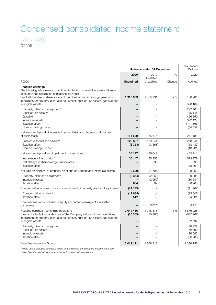# Condensed consolidated income statement (continued)

for the

|                                                                                                                                                                                                                                                                                                                                                       | Half-year ended 31 December |                                    |        | Year ended<br>30 June                                            |
|-------------------------------------------------------------------------------------------------------------------------------------------------------------------------------------------------------------------------------------------------------------------------------------------------------------------------------------------------------|-----------------------------|------------------------------------|--------|------------------------------------------------------------------|
|                                                                                                                                                                                                                                                                                                                                                       | 2020                        | 2019                               | $\%$   | 2020                                                             |
| <b>R000s</b>                                                                                                                                                                                                                                                                                                                                          | <b>Unaudited</b>            | <sup>o</sup> Restated<br>Unaudited | Change | Audited                                                          |
| <b>Headline earnings</b><br>The following adjustments to profit attributable to shareholders were taken into<br>account in the calculation of headline earnings:<br>Profit attributable to shareholders of the Company – continuing operations<br>Impairment of property, plant and equipment, right-of-use assets, goodwill and<br>intangible assets | 1910663<br>-                | 1 625 931                          | 17.5   | 168 981<br>990 164                                               |
| Property, plant and equipment <sup>#</sup><br>Right-of-use assets <sup>#</sup><br>Goodwill <sup>#</sup><br>Intangible assets#<br><b>Taxation effect</b><br>Non-controlling interest                                                                                                                                                                   |                             |                                    |        | 222 463<br>145 144<br>496 850<br>322 124<br>(141865)<br>(54 552) |
| Net loss on disposal of interests in subsidiaries and disposal and closure<br>of businesses                                                                                                                                                                                                                                                           | 114 539                     | 155 676                            |        | 247 181                                                          |
| Loss on disposal and closure#<br><b>Taxation effect</b><br>Non-controlling interest                                                                                                                                                                                                                                                                   | 120 897<br>(6358)           | 169 244<br>(13568)                 |        | 278 944<br>(18482)<br>(13281)                                    |
| Net loss on disposal and impairment of associates                                                                                                                                                                                                                                                                                                     | 36 147                      | 136 049                            |        | 485711                                                           |
| Impairment of associates <sup>#</sup><br>Net change in shareholding in associates <sup>#</sup><br><b>Taxation effect</b>                                                                                                                                                                                                                              | 36 147                      | 135 356<br>693                     |        | 523 279<br>693<br>(38261)                                        |
| Net gain on disposal of property, plant and equipment and intangible assets                                                                                                                                                                                                                                                                           | (2690)                      | (4706)                             |        | (8963)                                                           |
| Property, plant and equipment <sup>#</sup><br>Intangible assets#<br><b>Taxation effect</b>                                                                                                                                                                                                                                                            | (3354)<br>664               | (2 263)<br>(2950)<br>507           |        | 29 981<br>(30681)<br>(8263)                                      |
| Compensation received on loss or impairment of property plant and equipment                                                                                                                                                                                                                                                                           | (14173)                     | $\overline{\phantom{0}}$           |        | (11 267)                                                         |
| Compensation received <sup>#</sup><br><b>Taxation effect</b>                                                                                                                                                                                                                                                                                          | (19685)<br>5512             |                                    |        | (15648)<br>4 3 8 1                                               |
| Non-headline items included in equity accounted earnings of associated<br>companies                                                                                                                                                                                                                                                                   |                             | 5628                               |        | 5 1 2 1                                                          |
| Headline earnings - continuing operations<br>Loss attributable to shareholders of the Company – discontinued operations<br>Impairment of property, plant and equipment, right-of-use assets, goodwill and                                                                                                                                             | 2 044 486<br>(25365)        | 1918578<br>(10165)                 | 6.6    | 1876928<br>(632 267)                                             |
| intangible assets                                                                                                                                                                                                                                                                                                                                     |                             |                                    |        | 92 094                                                           |
| Property, plant and equipment<br>Right-of-use assets<br>Intangible assets<br><b>Taxation effect</b>                                                                                                                                                                                                                                                   |                             |                                    |        | 48 927<br>52790<br>26 583<br>(36 206)                            |
| Headline earnings - Group                                                                                                                                                                                                                                                                                                                             | 2019121                     | 1 908 413                          |        | 1 336 755                                                        |

*# Items above included as capital items on condensed consolidated income statement*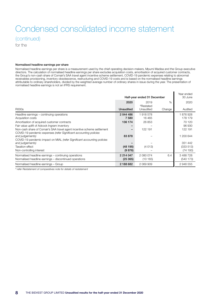# Condensed consolidated income statement (continued)

for the

#### Normalised headline earnings per share

Normalised headline earnings per share is a measurement used by the chief operating decision-makers, Mpumi Madisa and the Group executive directors. The calculation of normalised headline earnings per share excludes acquisition costs, amortisation of acquired customer contracts, the Group's non-cash share of Comair's SAA travel agent incentive scheme settlement, COVID-19 pandemic expenses relating to abnormal receivables provisioning, inventory obsolescence, restructuring and COVID-19 costs and is based on the normalised headline earnings attributable to ordinary shareholders, divided by the weighted average number of ordinary shares in issue during the year. The presentation of normalised headline earnings is not an IFRS requirement.

| Half-year ended 31 December                                                                                                                                     |                      |                                    | Year ended<br>30 June |                       |
|-----------------------------------------------------------------------------------------------------------------------------------------------------------------|----------------------|------------------------------------|-----------------------|-----------------------|
|                                                                                                                                                                 | 2020                 | 2019                               | $\%$                  | 2020                  |
| R000s                                                                                                                                                           | <b>Unaudited</b>     | <sup>o</sup> Restated<br>Unaudited | Change                | Audited               |
| Headline earnings – continuing operations                                                                                                                       | 2 044 486            | 1918578                            |                       | 1876928               |
| Acquisition costs                                                                                                                                               | 7580                 | 16465                              |                       | 178 179               |
| Amortisation of acquired customer contracts                                                                                                                     | 136 174              | 26 853                             |                       | 70 120                |
| Fair value uplift of Adcock Ingram inventory                                                                                                                    |                      |                                    |                       | 96 930                |
| Non-cash share of Comair's SAA travel agent incentive scheme settlement                                                                                         | -                    | 122 191                            |                       | 122 191               |
| COVID-19 pandemic expenses (refer Significant accounting policies<br>and judgements)<br>COVID-19 pandemic impact on MIAL (refer Significant accounting policies | 83878                |                                    |                       | 1 200 644             |
| and judgements)                                                                                                                                                 |                      |                                    |                       | 351 442               |
| <b>Taxation effect</b>                                                                                                                                          | (48195)              | (4013)                             |                       | (333 513)             |
| Non-controlling interest                                                                                                                                        | (9876)               |                                    |                       | (74193)               |
| Normalised headline earnings – continuing operations<br>Normalised headline earnings – discontinued operations                                                  | 2 214 047<br>(25365) | 2 080 074<br>(10165)               | 6.4                   | 3 488 728<br>(540173) |
| Normalised headline earnings - Group                                                                                                                            | 2 188 682            | 2 069 909                          |                       | 2 948 555             |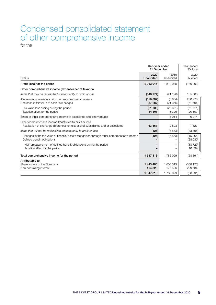### Condensed consolidated statement of other comprehensive income for the

|                                                                                                                                               |                          | Half-year ended<br>31 December |                     |  |
|-----------------------------------------------------------------------------------------------------------------------------------------------|--------------------------|--------------------------------|---------------------|--|
| <b>R000s</b>                                                                                                                                  | 2020<br><b>Unaudited</b> | 2019<br>Unaudited              | 2020<br>Audited     |  |
| Profit (loss) for the period                                                                                                                  | 2 033 045                | 1810035                        | (186903)            |  |
| Other comprehensive income (expense) net of taxation                                                                                          |                          |                                |                     |  |
| Items that may be reclassified subsequently to profit or loss                                                                                 | (548174)                 | (21176)                        | 155 080             |  |
| (Decrease) increase in foreign currency translation reserve<br>Decrease in fair value of cash flow hedges                                     | (510887)<br>(37 287)     | (5834)<br>(21356)              | 200 770<br>(51 704) |  |
| Fair value loss arising during the period<br>Taxation effect for the period                                                                   | (51 788)<br>14 501       | (29661)<br>8 3 0 5             | (71811)<br>20 107   |  |
| Share of other comprehensive income of associates and joint ventures                                                                          |                          | 6014                           | 6014                |  |
| Other comprehensive income transferred to profit or loss<br>Realisation of exchange differences on disposal of subsidiaries and or associates | 63 367                   | 2803                           | 7 3 2 7             |  |
| Items that will not be reclassified subsequently to profit or loss                                                                            | (425)                    | (6563)                         | (43895)             |  |
| Changes in the fair value of financial assets recognised through other comprehensive income<br>Defined benefit obligations                    | (425)                    | (6563)                         | (15865)<br>(28030)  |  |
| Net remeasurement of defined benefit obligations during the period<br>Taxation effect for the period                                          |                          |                                | (38729)<br>10 699   |  |
| Total comprehensive income for the period                                                                                                     | 1 547 813                | 1785099                        | (68391)             |  |
| Attributable to<br>Shareholders of the Company<br>Non-controlling interest                                                                    | 1 443 485<br>104 328     | 1 608 513<br>176 586           | (368125)<br>299 734 |  |
|                                                                                                                                               | 1 547 813                | 1785099                        | (68391)             |  |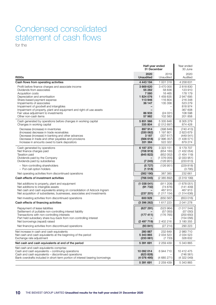# Condensed consolidated statement of cash flows

for the

|                                                                                                                                                                                                                                                                                                                                                                                    | Half-year ended<br>31 December                                                   |                                                                                                                     | Year ended<br>30 June                                                                                       |
|------------------------------------------------------------------------------------------------------------------------------------------------------------------------------------------------------------------------------------------------------------------------------------------------------------------------------------------------------------------------------------|----------------------------------------------------------------------------------|---------------------------------------------------------------------------------------------------------------------|-------------------------------------------------------------------------------------------------------------|
| <b>R000s</b>                                                                                                                                                                                                                                                                                                                                                                       | 2020<br><b>Unaudited</b>                                                         | 2019<br>Unaudited                                                                                                   | 2020<br>Audited                                                                                             |
| Cash flows from operating activities                                                                                                                                                                                                                                                                                                                                               | 4 443 194                                                                        | 1 001 318                                                                                                           | 4 258 631                                                                                                   |
| Profit before finance charges and associate income<br>Dividends from associates<br>Acquisition costs<br>Depreciation and amortisation<br>Share-based payment expense<br>Impairments of associates<br>Impairment of goodwill and intangibles<br>Impairment of property, plant and equipment and right-of-use assets<br>Fair value adjustment to investments<br>Other non-cash items | 3 669 620<br>55 282<br>7 580<br>1824076<br>113 946<br>36 147<br>86 933<br>57 982 | 3 470 000<br>58 836<br>16 4 65<br>1 459 835<br>116 804<br>135 356<br>$\overline{\phantom{0}}$<br>(24031)<br>102 583 | 2818830<br>123 910<br>178 179<br>2 947 695<br>216 348<br>523 279<br>818974<br>367 608<br>108 598<br>201 858 |
| Cash generated by operations before changes in working capital<br>Changes in working capital                                                                                                                                                                                                                                                                                       | 5 851 566<br>335 804                                                             | 5 335 848<br>(2012697)                                                                                              | 8 305 279<br>874 428                                                                                        |
| Decrease (increase) in inventories<br>(Increase) decrease in trade receivables<br>Decrease (increase) in banking and other advances<br>Decrease in trade and other payables and provisions<br>Increase in amounts owed to bank depositors                                                                                                                                          | 897 914<br>(330062)<br>3 1 8 7<br>(566 618)<br>331 384                           | (398 846)<br>1 197 801<br>(337617)<br>(2996357)<br>522 322                                                          | (740413)<br>2 623 679<br>(449541)<br>(1438571)<br>879 274                                                   |
| Cash generated by operations<br>Net finance charges paid<br><b>Taxation paid</b><br>Dividends paid by the Company<br>Dividends paid by subsidiaries                                                                                                                                                                                                                                | 6 187 370<br>(708919)<br>(645822)<br>(7245)                                      | 3 3 2 3 1 5 1<br>(654 160)<br>(852 052)<br>(107605)<br>(126951)                                                     | 9 179 707<br>(1432054)<br>(1454119)<br>(2033951)<br>(233613)                                                |
| - Non-controlling shareholders<br>- Put-call option holders                                                                                                                                                                                                                                                                                                                        | (5727)<br>(1518)                                                                 | (126951)                                                                                                            | (229 818)<br>(3795)                                                                                         |
| Net operating activities from discontinued operations                                                                                                                                                                                                                                                                                                                              | (382 190)                                                                        | 387 385                                                                                                             | 232 661                                                                                                     |
| Cash effects of investment activities                                                                                                                                                                                                                                                                                                                                              | (766045)                                                                         | (2385892)                                                                                                           | (331919)                                                                                                    |
| Net additions to property, plant and equipment<br>Net additions to intangible assets<br>Net cash and cash equivalents arising on consolidation of Adcock Ingram<br>Net acquisition of subsidiaries, businesses, associates and investments                                                                                                                                         | (1038041)<br>(91732)<br>(237 201)                                                | (911 208)<br>(74876)<br>467913<br>(1217154)                                                                         | (1678051)<br>(141 409)<br>467913<br>(1314636)                                                               |
| Net investing activities from discontinued operations                                                                                                                                                                                                                                                                                                                              | 600 929                                                                          | (650 567)                                                                                                           | (653016)                                                                                                    |
| Cash effects of financing activities                                                                                                                                                                                                                                                                                                                                               | (3396262)                                                                        | 1 617 223                                                                                                           | 2041278                                                                                                     |
| Repayment of lease liabilities<br>Settlement of puttable non-controlling interest liability<br>Transactions with non-controlling interests<br>Part held subsidiary share buy-back from non-controlling interest<br>Net borrowings (repaid) raised                                                                                                                                  | (627 291)<br>(177411)<br>(2497719)                                               | (523964)<br>(57050)<br>(176 765)<br>2 402 216                                                                       | (1017544)<br>(57050)<br>(200650)<br>(154056)<br>3 180 355                                                   |
| Net financing activities from discontinued operations                                                                                                                                                                                                                                                                                                                              | (93 841)                                                                         | (27 214)                                                                                                            | 290 223                                                                                                     |
| Net increase in cash and cash equivalents<br>Net cash and cash equivalents at the beginning of the period<br>Exchange rate adjustment                                                                                                                                                                                                                                              | 280 887<br>5 343 865<br>(233061)                                                 | 232 649<br>2 0 3 4 5 2 3<br>(7733)                                                                                  | 2 980 710<br>2 0 3 4 5 2 3<br>328 632                                                                       |
| Net cash and cash equivalents at end of the period                                                                                                                                                                                                                                                                                                                                 | 5 391 691                                                                        | 2 259 439                                                                                                           | 5 343 865                                                                                                   |
| Net cash and cash equivalents comprise:<br>Cash and cash equivalents - continuing operations<br>Cash and cash equivalents - discontinued operations<br>Bank overdrafts included in short-term portion of interest bearing borrowings                                                                                                                                               | 10 092 014<br>(623 828)<br>(4 076 495)                                           | 6944710<br>(4685271)                                                                                                | 10 412 475<br>(746561)<br>(4322049)                                                                         |
|                                                                                                                                                                                                                                                                                                                                                                                    | 5 391 691                                                                        | 2 2 5 9 4 3 9                                                                                                       | 5 343 865                                                                                                   |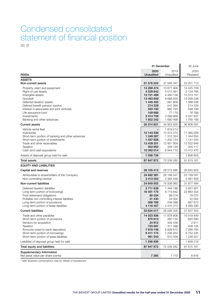# Condensed consolidated statement of financial position

as at

|                                                                              |                       | 31 December              | 30 June                 |
|------------------------------------------------------------------------------|-----------------------|--------------------------|-------------------------|
|                                                                              | 2020                  | 2019                     | 2020                    |
| <b>R000s</b>                                                                 | <b>Unaudited</b>      | Unaudited                | * Restated              |
| <b>ASSETS</b>                                                                |                       |                          |                         |
| Non-current assets                                                           | 51 576 225            | 37 585 347               | 53 201 715              |
| Property, plant and equipment                                                | 14 268 474            | 13 671 906               | 14 425 708              |
| Right-of-use assets                                                          | 4 529 842             | 5 012 861                | 5 134 768               |
| Intangible assets                                                            | 12 721 488            | 4 480 138                | 13 313 157              |
| Goodwill                                                                     | 13 463 859            | 8 688 835                | 14 058 238              |
| Deferred taxation assets                                                     | 1 446 405             | 681809                   | 1 588 036               |
| Defined benefit pension surplus<br>Interest in associates and joint ventures | 214 329               | 241 390                  | 214 329                 |
| Life assurance fund                                                          | 555 192<br>109 686    | 960 793<br>77 179        | 599 188<br>76 188       |
| Investments                                                                  | 2 414 708             | 2 089 968                | 2 031 937               |
| Banking and other advances                                                   | 1 852 242             | 1 680 468                | 1760166                 |
|                                                                              | 35 314 921            | 34 953 935               | 36 806 591              |
| <b>Current assets</b>                                                        |                       |                          |                         |
| Vehicle rental fleet                                                         |                       | 1819214                  |                         |
| Inventories                                                                  | 10 143 539            | 10 474 470               | 11 060 258              |
| Short-term portion of banking and other advances                             | 1 249 287             | 1 312 324                | 1 344 550               |
| Short-term portion of investments                                            | 1 037 928             | 1 202 133                | 1 141 545               |
| Trade and other receivables<br>Taxation                                      | 12 439 201            | 12 851 959<br>349 125    | 12 522 646              |
| Cash and cash equivalents                                                    | 352 952<br>10 092 014 | 6944710                  | 325 117<br>10 412 475   |
| Assets of disposal group held for sale                                       | 1 056 726             |                          | 1806855                 |
|                                                                              |                       |                          |                         |
| Total assets                                                                 | 87 947 872            | 72 539 282               | 91 815 161              |
| <b>EQUITY AND LIABILITIES</b>                                                |                       |                          |                         |
| Capital and reserves                                                         | 28 105 413            | 28 573 995               | 26 640 903              |
| Attributable to shareholders of the Company                                  | 24 692 361            | 26 189 547               | 23 159 047              |
| Non-controlling interest                                                     | 3 413 052             | 2 384 448                | 3 481 856               |
| Non-current liabilities                                                      | 24 949 503            | 15 938 982               | 31 977 484              |
| Deferred taxation liabilities                                                | 3711638               | 1446188                  | 3 931 901               |
| Long-term portion of borrowings                                              | 16 451 175            | 9719842                  | 22 883 554              |
| Post-retirement obligations                                                  | 80 034                | 89 0 78                  | 79 0 75                 |
| Puttable non-controlling interest liabilities                                | 21 430                | 24 002                   | 22 002                  |
| Long-term portion of provisions                                              | 568 769<br>4 116 457  | 249 599<br>4 4 1 0 2 7 3 | 667 672                 |
| Long-term portion of lease liabilities<br><b>Current liabilities</b>         | 33 634 017            | 28 026 305               | 4 393 280<br>31 557 555 |
|                                                                              |                       |                          |                         |
| Trade and other payables                                                     | 14 023 936            | 11 878 608               | 15 018 849              |
| Short-term portion of provisions                                             | 870 613<br>24 912     | 360 135                  | 820 590                 |
| Vendors for acquisition                                                      |                       | 429 439                  | 2611                    |
| Taxation<br>Amounts owed to bank depositors                                  | 723 691<br>7618148    | 311 398<br>6929812       | 438 105<br>7 286 764    |
| Short-term portion of borrowings                                             | 9 411 174             | 7 206 454                | 6752335                 |
| Short-term portion of lease liabilities                                      | 961 543               | 910 459                  | 1 238 301               |
| Liabilities of disposal group held for sale                                  | 1 258 939             |                          | 1 639 219               |
| Total equity and liabilities                                                 | 87 947 872            | 72 539 282               | 91 815 161              |
| Supplementary Information<br>Net asset value per share (cents)               | 7 2 6 5               | 7710                     | 6816                    |

*\* refer Business combinations note for details of restatement*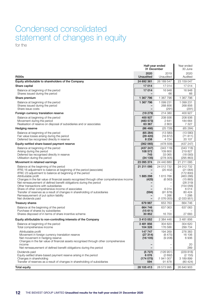# Condensed consolidated statement of changes in equity

for the

|                                                                                                                                                                                                                                                                                                                                                                                                                                                                                                                                                                                                                    | Half-year ended<br>31 December          |                                                                                              | Year ended<br>30 June                                                                                                         |
|--------------------------------------------------------------------------------------------------------------------------------------------------------------------------------------------------------------------------------------------------------------------------------------------------------------------------------------------------------------------------------------------------------------------------------------------------------------------------------------------------------------------------------------------------------------------------------------------------------------------|-----------------------------------------|----------------------------------------------------------------------------------------------|-------------------------------------------------------------------------------------------------------------------------------|
| <b>R000s</b>                                                                                                                                                                                                                                                                                                                                                                                                                                                                                                                                                                                                       | 2020<br>Unaudited                       | 2019<br>Unaudited                                                                            | 2020<br>Audited                                                                                                               |
| Equity attributable to shareholders of the Company                                                                                                                                                                                                                                                                                                                                                                                                                                                                                                                                                                 | 24 692 361                              | 26 189 547                                                                                   | 23 159 047                                                                                                                    |
| Share capital                                                                                                                                                                                                                                                                                                                                                                                                                                                                                                                                                                                                      | 17014                                   | 17014                                                                                        | 17014                                                                                                                         |
| Balance at beginning of the period<br>Shares issued during the period                                                                                                                                                                                                                                                                                                                                                                                                                                                                                                                                              | 17014                                   | 16948<br>66                                                                                  | 16948<br>66                                                                                                                   |
| Share premium                                                                                                                                                                                                                                                                                                                                                                                                                                                                                                                                                                                                      | 1 367 796                               | 1 367 796                                                                                    | 1 367 796                                                                                                                     |
| Balance at beginning of the period<br>Shares issued during the period<br>Share issue costs                                                                                                                                                                                                                                                                                                                                                                                                                                                                                                                         | 1 367 796<br>$\overline{\phantom{0}}$   | 1 099 231<br>268 856<br>(291)                                                                | 1 099 231<br>268 856<br>(291)                                                                                                 |
| Foreign currency translation reserve                                                                                                                                                                                                                                                                                                                                                                                                                                                                                                                                                                               | (19279)                                 | 214 380                                                                                      | 400 927                                                                                                                       |
| Balance at beginning of the period<br>Movement during the period<br>Realisation of reserve on disposal of subsidiaries and or associates                                                                                                                                                                                                                                                                                                                                                                                                                                                                           | 400 927<br>(483573)<br>63 367           | 208 936<br>2641<br>2803                                                                      | 208 936<br>184 664<br>7 327                                                                                                   |
| Hedging reserve                                                                                                                                                                                                                                                                                                                                                                                                                                                                                                                                                                                                    | (86 466)                                | (25728)                                                                                      | (65284)                                                                                                                       |
| Balance at beginning of the period<br>Fair value losses arising during the period<br>Deferred tax recognised directly in reserve                                                                                                                                                                                                                                                                                                                                                                                                                                                                                   | (65284)<br>(29 420)<br>8 2 3 8          | (13580)<br>(16 872)<br>4 7 2 4                                                               | (13 580)<br>(71811)<br>20 107                                                                                                 |
| Equity-settled share-based payment reserve                                                                                                                                                                                                                                                                                                                                                                                                                                                                                                                                                                         | (362 065)                               | (478558)                                                                                     | (437 247)                                                                                                                     |
| Balance at beginning of the period<br>Arising during the period<br>Deferred tax recognised directly in reserve<br>Utilisation during the period                                                                                                                                                                                                                                                                                                                                                                                                                                                                    | (437 247)<br>108 572<br>745<br>(34135)  | (343 118)<br>109 800<br>33 065<br>(278 305)                                                  | (343 118)<br>219827<br>(18093)<br>(295 863)                                                                                   |
| Movement in retained earnings                                                                                                                                                                                                                                                                                                                                                                                                                                                                                                                                                                                      | 23 095 374                              | 24 440 880                                                                                   | 21 211 095                                                                                                                    |
| Balance at the beginning of the period<br>IFRS 16 adjustment to balance at beginning of the period (associate)<br>IFRIC 23 adjustment to balance at beginning of the period<br>Attributable profit<br>Changes in the fair value of financial assets recognised through other comprehensive income<br>Net remeasurement of defined benefit obligations during the period<br>Other transactions with subsidiaries<br>Share of other comprehensive income of associates<br>Transfer of reserves as a result of changes in shareholding of subsidiaries<br>Remeasurement of put option liability<br>Net dividends paid | 21 211 095<br>1885298<br>(425)<br>(594) | 24 012 732<br>(20 402)<br>1 615 766<br>(6563)<br>-<br>6014<br>(91878)<br>1 2 6 6<br>(107605) | 24 012 732<br>(21064)<br>(172 800)<br>(463 286)<br>(15865)<br>(28319)<br>(154 056)<br>6014<br>80 4 24<br>1 2 6 6<br>(2033951) |
| <b>Treasury shares</b>                                                                                                                                                                                                                                                                                                                                                                                                                                                                                                                                                                                             | 679 987                                 | 653 763                                                                                      | 664 746                                                                                                                       |
| Balance at the beginning of the period<br>Purchase of shares by subsidiaries                                                                                                                                                                                                                                                                                                                                                                                                                                                                                                                                       | 664 746<br>(15611)<br>30 852            | 637 063<br>16 700                                                                            | 637 063                                                                                                                       |
| Shares disposed of in terms of share incentive scheme                                                                                                                                                                                                                                                                                                                                                                                                                                                                                                                                                              |                                         |                                                                                              | 27 683                                                                                                                        |
| Equity attributable to non-controlling interests of the Company                                                                                                                                                                                                                                                                                                                                                                                                                                                                                                                                                    | 3 413 052                               | 2 384 448                                                                                    | 3 481 856                                                                                                                     |
| Balance at beginning of the period<br>Total comprehensive income                                                                                                                                                                                                                                                                                                                                                                                                                                                                                                                                                   | 3 481 856<br>104 328                    | 304 620<br>176 586                                                                           | 304 620<br>299 734                                                                                                            |
| Attributable profit<br>Movement in foreign currency translation reserve<br>Net movement in hedging reserve<br>Changes in the fair value of financial assets recognised through other comprehensive<br>income<br>Net remeasurement of defined benefit obligations during the period                                                                                                                                                                                                                                                                                                                                 | 147 747<br>(27314)<br>(16105)           | 194 269<br>(8475)<br>(9 208)                                                                 | 276 383<br>16 106<br>6936<br>20<br>289                                                                                        |
| Dividends paid<br>Equity-settled share-based payment reserve arising in the period<br>Changes in shareholding<br>Transfer of reserves as a result of changes in shareholding of subsidiaries                                                                                                                                                                                                                                                                                                                                                                                                                       | (5727)<br>6076<br>(174075)<br>594       | (126951)<br>(2692)<br>1941007<br>91 878                                                      | (229 818)<br>(2155)<br>3 189 899<br>(80 424)                                                                                  |
| <b>Total equity</b>                                                                                                                                                                                                                                                                                                                                                                                                                                                                                                                                                                                                | 28 105 413                              | 28 573 995                                                                                   | 26 640 903                                                                                                                    |

 $\mathbf{r}$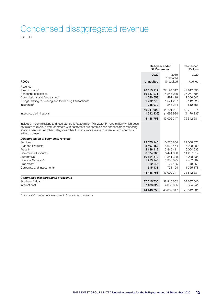### Condensed disaggregated revenue for the

| Half-year ended<br>31 December                                                                                                                                                                                                                                                                                   |                  |                                    | Year ended<br>30 June |
|------------------------------------------------------------------------------------------------------------------------------------------------------------------------------------------------------------------------------------------------------------------------------------------------------------------|------------------|------------------------------------|-----------------------|
|                                                                                                                                                                                                                                                                                                                  | 2020             | 2019                               | 2020                  |
| <b>R000s</b>                                                                                                                                                                                                                                                                                                     | <b>Unaudited</b> | <sup>o</sup> Restated<br>Unaudited | Audited               |
| Revenue                                                                                                                                                                                                                                                                                                          |                  |                                    |                       |
| Sale of goods <sup>1</sup>                                                                                                                                                                                                                                                                                       | 26 615 117       | 27 194 312                         | 47 812 696            |
| Rendering of services <sup>2</sup>                                                                                                                                                                                                                                                                               | 16 887 271       | 14 246 040                         | 27 977 794            |
| Commissions and fees earned <sup>3</sup>                                                                                                                                                                                                                                                                         | 1 080 553        | 1 491 418                          | 2 306 642             |
| Billings relating to clearing and forwarding transactions <sup>4</sup>                                                                                                                                                                                                                                           | 1 202 770        | 1 521 267                          | 2 112 326             |
| Insurance <sup>5</sup>                                                                                                                                                                                                                                                                                           | 255 979          | 248 244                            | 512 356               |
|                                                                                                                                                                                                                                                                                                                  | 46 041 690       | 44 701 281                         | 80 721 814            |
| Inter-group eliminations                                                                                                                                                                                                                                                                                         | (1592932)        | (1698934)                          | (4 179 233)           |
|                                                                                                                                                                                                                                                                                                                  | 44 448 758       | 43 002 347                         | 76 542 581            |
| Included in commissions and fees earned is R920 million (H1 2020: R1 000 million) which does<br>not relate to revenue from contracts with customers but commissions and fees from rendering<br>financial services. All other categories other than insurance relate to revenue from contracts<br>with customers. |                  |                                    |                       |
| Disaggregation of segmental revenue                                                                                                                                                                                                                                                                              |                  |                                    |                       |
| Services <sup>2</sup>                                                                                                                                                                                                                                                                                            | 13 575 145       | 10 578 884                         | 21 008 073            |
| Branded Products <sup>1</sup>                                                                                                                                                                                                                                                                                    | 8 497 459        | 8 6 6 3 4 7 4                      | 16 298 000            |
| Freight <sup>2,4</sup>                                                                                                                                                                                                                                                                                           | 3 186 112        | 3846411                            | 6 054 636             |
| Commercial Products <sup>1</sup>                                                                                                                                                                                                                                                                                 | 6874900          | 6441806                            | 11 287 019            |
| Automotive <sup>1</sup>                                                                                                                                                                                                                                                                                          | 10 524 519       | 11 341 308                         | 18 028 934            |
| Financial Services <sup>3,5</sup>                                                                                                                                                                                                                                                                                | 1 253 246        | 1 333 075                          | 2 452 682             |
| Properties <sup>2</sup>                                                                                                                                                                                                                                                                                          | 22 246           | 24 195                             | 48 059                |
| Corporate and Investments <sup>1</sup>                                                                                                                                                                                                                                                                           | 515 131          | 773 194                            | 1 365 178             |
|                                                                                                                                                                                                                                                                                                                  | 44 448 758       | 43 002 347                         | 76 542 581            |
| Geographic disaggregation of revenue                                                                                                                                                                                                                                                                             |                  |                                    |                       |
| Southern Africa                                                                                                                                                                                                                                                                                                  | 37 015 736       | 38 916 662                         | 67 687 640            |
| International                                                                                                                                                                                                                                                                                                    | 7 433 022        | 4 085 685                          | 8 8 5 4 9 4 1         |
|                                                                                                                                                                                                                                                                                                                  | 44 448 758       | 43 002 347                         | 76 542 581            |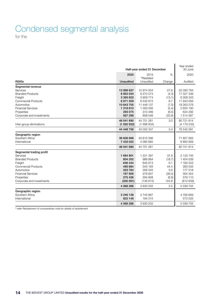# Condensed segmental analysis

for the

| Half-year ended 31 December |                  |                  | Year ended<br>30 June |             |
|-----------------------------|------------------|------------------|-----------------------|-------------|
|                             | 2020             | 2019             | %                     | 2020        |
|                             |                  | <b>PRestated</b> |                       |             |
| <b>R000s</b>                | <b>Unaudited</b> | Unaudited        | Change                | Audited     |
| Segmental revenue           |                  |                  |                       |             |
| Services                    | 13 999 637       | 10 974 554       | 27.6                  | 22 090 784  |
| <b>Branded Products</b>     | 8 8 5 2 0 3 4    | 9 270 573        | (4.5)                 | 17 327 336  |
| Freight                     | 3 395 822        | 3 909 774        | (13.1)                | 6 308 343   |
| <b>Commercial Products</b>  | 6971509          | 6532615          | 6.7                   | 11 943 006  |
| Automotive                  | 10 643 705       | 11 448 137       | (7.0)                 | 18 263 276  |
| <b>Financial Services</b>   | 1 318 610        | 1 393 593        | (5.4)                 | 2 650 190   |
| Properties                  | 293 075          | 313 489          | (6.5)                 | 624 292     |
| Corporate and investments   | 567 298          | 858 546          | (33.9)                | 1 514 587   |
|                             | 46 041 690       | 44 701 281       | 3.0                   | 80 721 814  |
| Inter-group eliminations    | (1592932)        | (1698934)        |                       | (4 179 233) |
|                             | 44 448 758       | 43 002 347       | 3.4                   | 76 542 581  |
| Geographic region           |                  |                  |                       |             |
| Southern Africa             | 38 608 668       | 40 615 596       |                       | 71 857 855  |
| International               | 7 433 022        | 4 085 685        |                       | 8 863 959   |
|                             | 46 041 690       | 44 701 281       |                       | 80 721 814  |
| Segmental trading profit    |                  |                  |                       |             |
| Services                    | 1 684 901        | 1 221 397        | 37.9                  | 2 133 745   |
| <b>Branded Products</b>     | 804 202          | 988 864          | (18.7)                | 1 404 039   |
| Freight                     | 646 444          | 645 613          | 0.1                   | 1 160 543   |
| <b>Commercial Products</b>  | 495 684          | 343 183          | 44.4                  | 393 032     |
| Automotive                  | 323 784          | 306 545          | 5.6                   | 177 518     |
| <b>Financial Services</b>   | 167926           | 276 607          | (39.3)                | 304 354     |
| Properties                  | 275 436          | 294 808          | (6.6)                 | 579 110     |
| Corporate and investments   | (330091)         | (146 815)        | 124.8                 | (812639)    |
|                             | 4 068 286        | 3 930 202        | 3.5                   | 5 339 702   |
| Geographic region           |                  |                  |                       |             |
| Southern Africa             | 3 246 138        | 3745887          |                       | 4766669     |
| International               | 822 148          | 184 315          |                       | 573 033     |
|                             | 4 068 286        | 3 930 202        |                       | 5 339 702   |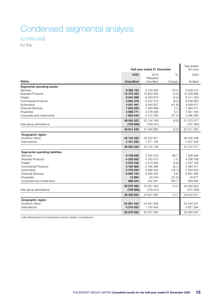# Condensed segmental analysis

(continued)

for the

|                                 | Half-year ended 31 December |                                    |        | Year ended<br>30 June |
|---------------------------------|-----------------------------|------------------------------------|--------|-----------------------|
|                                 | 2020                        | 2019                               | %      | 2020                  |
| <b>R000s</b>                    | <b>Unaudited</b>            | <sup>o</sup> Restated<br>Unaudited | Change | Audited               |
| Segmental operating assets      |                             |                                    |        |                       |
| Services                        | 8 268 163                   | 6 104 954                          | 35.4   | 8 9 28 5 12           |
| <b>Branded Products</b>         | 10 376 352                  | 10 804 565                         | (4.0)  | 10 026 686            |
| Freight                         | 8 044 399                   | 8 493 873                          | (5.3)  | 8 311 029             |
| <b>Commercial Products</b>      | 5 662 378                   | 6 237 510                          | (9.2)  | 6036883               |
| Automotive                      | 4 041 491                   | 6940827                            | (41.8) | 4656611               |
| <b>Financial Services</b>       | 7 659 229                   | 7 493 988                          | 2.2    | 7 464 971             |
| Properties                      | 3696771                     | 3576089                            | 3.4    | 3 561 295             |
| Corporate and investments       | 1 805 540                   | 2 472 300                          | (27.0) | 2 086 390             |
|                                 | 49 554 323                  | 52 124 106                         | (4.9)  | 51 072 377            |
| Inter-group eliminations        | (739 895)                   | (729 441)                          |        | (761094)              |
|                                 | 48 814 428                  | 51 394 665                         | (5.0)  | 50 311 283            |
| Geographic region               |                             |                                    |        |                       |
| Southern Africa                 | 45 132 493                  | 50 552 921                         |        | 46 035 348            |
| International                   | 4 4 21 8 30                 | 1571185                            |        | 5 037 029             |
|                                 | 49 554 323                  | 52 124 106                         |        | 51 072 377            |
| Segmental operating liabilities |                             |                                    |        |                       |
| Services                        | 6708839                     | 3 555 070                          | 88.7   | 7 306 940             |
| <b>Branded Products</b>         | 4 205 692                   | 4 163 510                          | 1.0    | 4 298 796             |
| Freight                         | 3976336                     | 4 213 930                          | (5.6)  | 4 257 185             |
| Commercial Products             | 2 164 960                   | 2 166 068                          | (0.1)  | 2 360 317             |
| Automotive                      | 2 376 045                   | 2899492                            | (18.1) | 2 354 633             |
| <b>Financial Services</b>       | 8 845 194                   | 8 296 404                          | 6.6    | 8 807 482             |
| Properties                      | 13984                       | 20 340                             | (31.2) | 40 877                |
| Corporate and investments       | 688 345                     | 242 591                            | 183.7  | 839 395               |
|                                 | 28 979 395                  | 25 557 405                         | 13.4   | 30 265 625            |
| Inter-group eliminations        | (739 895)                   | (729.441)                          |        | (761094)              |
|                                 | 28 239 500                  | 24 827 964                         | 13.7   | 29 504 531            |
| Geographic region               |                             |                                    |        |                       |
| Southern Africa                 | 24 661 043                  | 24 401 949                         |        | 25 444 241            |
| International                   | 4 318 352                   | 1 155 456                          |        | 4 821 384             |
|                                 | 28 979 395                  | 25 557 405                         |        | 30 265 625            |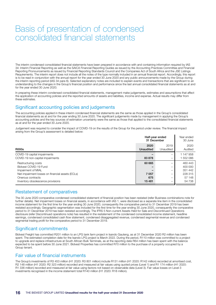# Basis of presentation of condensed consolidated financial statements

The interim condensed consolidated financial statements have been prepared in accordance with and containing information required by IAS 34: Interim Financial Reporting as well as the SAICA Financial Reporting Guides as issued by the Accounting Practices Committee and Financial Reporting Pronouncements as issued by Financial Reporting Standards Council and the Companies Act of South Africa and the JSE Listings Requirements. The interim report does not include all the notes of the type normally included in an annual financial report. Accordingly, this report is to be read in conjunction with the annual report for the year ended 30 June 2020 and any public announcements made by the Group during the interim reporting period (IAS 34 para 6). Selected explanatory notes are included to explain events and transactions that are significant to an understanding to the changes in the Group's financial position and performance since the last annual consolidated financial statements as at and for the year ended 30 June 2020.

In preparing these interim condensed consolidated financial statements, management make judgements, estimates and assumptions that affect the application of accounting policies and the reported amounts of assets and liabilities, income and expense. Actual results may differ from these estimates.

### Significant accounting policies and judgements

The accounting policies applied in these interim condensed financial statements are the same as those applied in the Group's consolidated financial statements as at and for the year ending 30 June 2020. The significant judgements made by management in applying the Group's accounting policies and the key sources of estimation uncertainty were the same as those that applied to the consolidated financial statements as at and for the year ended 30 June 2020.

Judgement was required to consider the impact of COVID-19 on the results of the Group for the period under review. The financial impact arising from the Group's assessment is detailed below:

|                                                                                                                                                                                  | Half-year ended<br>31 December      |                            | Year ended<br>30 June                                        |
|----------------------------------------------------------------------------------------------------------------------------------------------------------------------------------|-------------------------------------|----------------------------|--------------------------------------------------------------|
| <b>R000s</b>                                                                                                                                                                     | 2020<br>Unaudited                   | 2019<br>Unaudited          | 2020<br>Audited                                              |
| COVID-19 capital impairments<br>COVID-19 non-capital impairments                                                                                                                 | 83878                               | -                          | 1 147 958<br>1552086                                         |
| Restructuring costs<br>Bidvest COVID-19 Fund<br>Impairment of MIAL<br>Net impairment losses on financial assets (ECLs)<br>Onerous contracts<br>Inventory obsolescence provisions | 60 665<br>7 0 5 7<br>675<br>15 4 81 | -<br>-<br>-<br>-<br>-<br>- | 460 443<br>400 000<br>351 442<br>228 315<br>57 148<br>54 738 |

### Restatement of comparatives

The 30 June 2020 comparative condensed consolidated statement of financial position has been restated (refer Business combinations note for further details). Net impairment losses on financial assets, in accordance with IAS 1, were disclosed as a separate line item in the consolidated income statement for the first time for the year ending 30 June 2020, consequently the comparative period to 31 December 2019 has been restated accordingly. Geographic segmentation was included for the first time for the year ending 30 June 2020, consequently the comparative period to 31 December 2019 has been restated accordingly. The IFRS 5 Non-current Assets Held for Sale and Discontinued Operations disclosure (refer Discontinued operations note) has resulted in the restatement of the condensed consolidated income statement, headline earnings, condensed consolidated cash flow statement, condensed disaggregated revenue, condensed segmental revenue and condensed segmental trading profit for the comparative period to 31 December 2019.

### Significant commitments

Bidvest Freight has committed R201 million to an LPG tank farm project in Isando Gauteng, as at 31 December 2020 R2 million has been spent. The estimated completion date for the Isando LPG project is March 2022. During the period, R110 million was committed to a project to upgrade and replace infrastructure at South African Bulk Terminals, as at the reporting date R64 million has been spent with the balance expected to be spent before 30 June 2021. Bidvest Properties has committed R70 million to the purchase of a property occupied by a Group tenant

### Fair value of financial instruments

The Group's investments of R3 453 million (H1 2020: R3 801 million) include R131 million (H1 2020: R142 million) recorded at amortised cost, R2 148 million (H1 2020: R2 323 million) recorded and measured at fair values using quoted prices (Level 1) and R1 174 million (H1 2020: R1 336 million) recorded and measured at fair value using factors not based on observable data (Level 3). Fair value losses on Level 3 investments recognised in the income statement total R140 million (H1 2020: R18 million).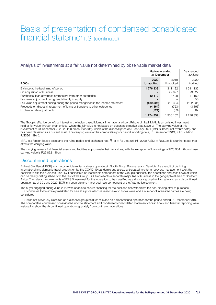### Basis of presentation of condensed consolidated financial statements (continued)

#### Analysis of investments at a fair value not determined by observable market data

|                                                                                                                                                                                                                                                                                                                                                                                        |                                                     | Half-year ended<br>31 December                           |                                                                   |
|----------------------------------------------------------------------------------------------------------------------------------------------------------------------------------------------------------------------------------------------------------------------------------------------------------------------------------------------------------------------------------------|-----------------------------------------------------|----------------------------------------------------------|-------------------------------------------------------------------|
| <b>R000s</b>                                                                                                                                                                                                                                                                                                                                                                           | 2020<br>Unaudited                                   | 2019<br>Unaudited                                        | 2020<br>Audited                                                   |
| Balance at the beginning of period<br>On acquisition of business<br>Purchases, loan advances or transfers from other categories<br>Fair value adjustment recognised directly in equity<br>Fair value adjustment arising during the period recognised in the income statement<br>Proceeds on disposal, repayment of loans or transfers to other categories<br>Exchange rate adjustments | 1 276 338<br>42 412<br>(139 505)<br>(4364)<br>(524) | 311 132<br>29 627<br>14 4 29<br>(18324)<br>(723)<br>(39) | 1 311 132<br>29627<br>41 169<br>55<br>(102 831)<br>(3 396)<br>582 |
|                                                                                                                                                                                                                                                                                                                                                                                        | 1 174 357                                           | 336 102                                                  | 1 276 338                                                         |

The Group's effective beneficial interest in the Indian based Mumbai International Airport Private Limited (MIAL) is an unlisted investment held at fair value through profit or loss, where the fair value is not based on observable market data (Level 3). The carrying value of this investment at 31 December 2020 is R1.0 billion (Rcr 505), which is the disposal price of 5 February 2021 (refer Subsequent events note), and has been classified as a current asset. The carrying value at the comparative prior period reporting date, 31 December 2019, is R1.2 billion (US\$86 million).

MIAL is a foreign-based asset and the ruling period-end exchange rate, RT1cr = R2 055 303 (H1 2020: US\$1 = R13.98), is a further factor that affects the carrying value.

The carrying values of all financial assets and liabilities approximate their fair values, with the exception of borrowings of R25 904 million whose carrying value is R25 862 million.

### Discontinued operations

Bidvest Car Rental (BCR) is a motor vehicle rental business operating in South Africa, Botswana and Namibia. As a result of declining international and domestic travel brought on by the COVID-19 pandemic and a slow anticipated mid-term recovery, management took the decision to exit the business. The BCR business is an identifiable component of the Group's business, the operations and cash flows of which can be clearly distinguished from the rest of the Group. BCR represents a separate major line of business in the geographical area of Southern Africa. The relevant requirements of IFRS 5 were met for this operation to be classified as a disposal group held for sale and as a discontinued operation as at 30 June 2020. BCR is a separate and major business component of the Automotive segment.

The buyer engaged during June 2020 was unable to secure financing for the deal and has withdrawn the non-binding offer to purchase. BCR continues to be actively marketed for sale at a price which is reasonable to its fair value and a number of interested parties are being considered.

BCR was not previously classified as a disposal group held for sale and as a discontinued operation for the period ended 31 December 2019. The comparative condensed consolidated income statement and condensed consolidated statement of cash flows and financial reporting were restated to show the discontinued operation separately from continuing operations.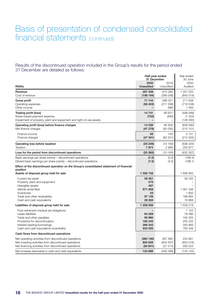### Basis of presentation of condensed consolidated financial statements (continued)

Results of the discontinued operation included in the Group's results for the period ended 31 December are detailed as follows:

|                                                                                                                                                                                                                      |                                                                        | Half-year ended<br>31 December   |                                                               |
|----------------------------------------------------------------------------------------------------------------------------------------------------------------------------------------------------------------------|------------------------------------------------------------------------|----------------------------------|---------------------------------------------------------------|
| <b>R000s</b>                                                                                                                                                                                                         | 2020<br><b>Unaudited</b>                                               | 2019<br>Unaudited                | 2020<br>Audited                                               |
| Revenue<br>Cost of revenue                                                                                                                                                                                           | 267 338<br>(196 194)                                                   | 675 289<br>(389 268)             | 1 057 525<br>(840519)                                         |
| Gross profit<br>Operating expenses<br>Other income                                                                                                                                                                   | 71 144<br>(56 403)                                                     | 286 021<br>(217 298)<br>898      | 217 006<br>(716538)<br>1 0 6 3                                |
| Trading profit (loss)<br>Share-based payment expense<br>Impairment of property, plant and equipment and right-of-use assets                                                                                          | 14741<br>(702)                                                         | 69621<br>(693)                   | (498 469)<br>(1324)<br>(128 300)                              |
| Operating profit (loss) before finance charges<br>Net finance charges                                                                                                                                                | 14 039<br>(47278)                                                      | 68928<br>(82092)                 | (628093)<br>(210151)                                          |
| Finance income<br>Finance charges                                                                                                                                                                                    | 63<br>(47341)                                                          | 129<br>(82 221)                  | 5 1 5 1<br>(215 302)                                          |
| Operating loss before taxation<br>Taxation                                                                                                                                                                           | (33 239)<br>7874                                                       | (13164)<br>2999                  | (838 244)<br>205 977                                          |
| Loss for the period from discontinued operations                                                                                                                                                                     | (25365)                                                                | (10165)                          | (632 267)                                                     |
| Basic earnings per share (cents) – discontinued operations<br>Diluted basic earnings per share (cents) – discontinued operations                                                                                     | (7.5)<br>(7.5)                                                         | (3.0)<br>(3.0)                   | (186.4)<br>(186.1)                                            |
| Effect of the discontinued operation on the Group's consolidated statement of financial<br>position                                                                                                                  |                                                                        |                                  |                                                               |
| Assets of disposal group held for sale<br>Current tax asset<br>Property, plant and equipment<br>Intangible assets<br>Vehicle rental fleet<br>Inventories<br>Trade and other receivables<br>Cash and cash equivalents | 1 056 726<br>58 361<br>575<br>487<br>871 859<br>53<br>97 126<br>28 265 |                                  | 1806855<br>58 335<br>1 561 338<br>1 600<br>168 694<br>16888   |
| Liabilities of disposal group held for sale                                                                                                                                                                          | 1 258 939                                                              |                                  | 1639219                                                       |
| Post-retirement medical aid obligations<br>Lease liabilities<br>Trade and other payables<br>Provisions for discontinuation<br>Interest-bearing borrowings<br>Cash and cash equivalents (overdrafts)                  | 64 269<br>90 990<br>185 245<br>266 342<br>652 093                      |                                  | 1 1 2 3<br>78 096<br>195 325<br>255 233<br>345 993<br>763 449 |
| Cash flows from discontinued operations                                                                                                                                                                              |                                                                        |                                  |                                                               |
| Net operating activities from discontinued operations<br>Net investing activities from discontinued operations<br>Net financing activities from discontinued operations                                              | (382 190)<br>600 929<br>(93 841)                                       | 387 385<br>(650 567)<br>(27 214) | 232 661<br>(653 016)<br>290 223                               |
| Net increase (decrease) in cash and cash equivalents                                                                                                                                                                 | 124 898                                                                | (290 396)                        | (130 132)                                                     |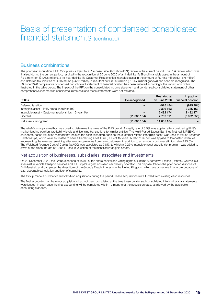### Basis of presentation of condensed consolidated financial statements (continued)

### Business combinations

The prior year acquisition, PHS Group was subject to a Purchase Price Allocation (PPA) review in the current period. The PPA review, which was finalised during the current period, resulted in the recognition at 30 June 2020 of an indefinite life Brand intangible asset in the amount of R2 336 million (£108.8 million), a 15-year definite life Customer Relationships intangible asset in the amount of R2 482 million (£115.6 million) and deferred tax liabilities of R915 million (£42.6 million), a resultant net R3 903 million (£181.7 million) goodwill has been de-recognised. The 30 June 2020 comparative condensed consolidated statement of financial position has been restated accordingly, the impact of which is illustrated in the table below. The impact of the PPA on the consolidated income statement and condensed consolidated statement of other comprehensive income was considered immaterial and these statements were not restated.

| <b>R000s</b>                                             | De-recognised | <b>Restated at</b><br>30 June 2020 | Impact on<br>financial position |
|----------------------------------------------------------|---------------|------------------------------------|---------------------------------|
| Deferred taxation                                        | -             | (915, 484)                         | (915 484)                       |
| Intangible asset - PHS brand (indefinite life)           | -             | 2 336 163                          | 2 336 163                       |
| Intangible asset – Customer relationships (15-year life) | -             | 2 482 174                          | 2 482 174                       |
| Goodwill                                                 | (11685164)    | 7 782 311                          | (3902853)                       |
| Net assets recognised                                    | (11685164)    | 11 685 164                         |                                 |

The relief-from-royalty method was used to determine the value of the PHS brand. A royalty rate of 3.5% was applied after considering PHS's market-leading position, profitability levels and licensing transactions for similar entities. The Multi-Period Excess Earnings Method (MPEEM), an income-based valuation method that isolates the cash flow attributable to the customer related intangible asset, was used to value Customer Relationships, which were estimated to have a Remaining Useful Life (RUL) of 15 years. A ratio of 92.5% was applied to forecasted revenues (representing the revenue remaining after removing revenue from new customers) in addition to an existing customer attrition rate of 13.5%. The Weighted Average Cost of Capital (WACC) was calculated as 9.8%, to which a 0.25% intangible asset specific risk premium was added to arrive at the discount rate of 10.05% used in valuation of the identified intangible assets.

#### Net acquisition of businesses, subsidiaries, associates and investments

On 23 December 2020, the Group disposed of 100% of the share capital and voting rights of Ontime Automotive Limited (Ontime). Ontime is a specialist in vehicle transport services and is Europe's largest enclosed car delivery operator. This disposal follows the prior period disposal of DH Mansfield and completes the divestiture of the Group's Freight interests in the United Kingdom, which are considered non-core because of size, geographical isolation and lack of scalability.

The Group made a number of minor bolt-on acquisitions during the period. These acquisitions were funded from existing cash resources.

The final accounting for the minor acquisitions had not been completed at the time these condensed consolidated interim financial statements were issued, in each case the final accounting will be completed within 12 months of the acquisition date, as allowed by the applicable accounting standard.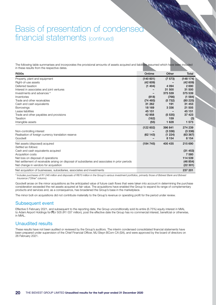### Basis of presentation of condensed financial statements (continued)

The following table summarises and incorporates the provisional amounts of assets acquired and liabilities assumed which have been included in these results from the respective dates.

| <b>R000s</b>                                                                                     | Ontime   | Other   | Total    |
|--------------------------------------------------------------------------------------------------|----------|---------|----------|
| Property, plant and equipment                                                                    | (140601) | (7 573) | (148174) |
| Right-of-use assets                                                                              | (42609)  |         | (42609)  |
| Deferred taxation                                                                                | (1404)   | 4 0 9 4 | 2690     |
| Interest in associates and joint ventures                                                        |          | 31 500  | 31 500   |
| Investments and advances °                                                                       |          | 375 539 | 375 539  |
| Inventories                                                                                      | (818)    | (766)   | (1 584)  |
| Trade and other receivables                                                                      | (74493)  | (5732)  | (80225)  |
| Cash and cash equivalents                                                                        | 31 262   | 191     | 31 453   |
| <b>Borrowings</b>                                                                                | 18 169   | 3 3 3 6 | 21 505   |
| Lease liabilities                                                                                | 45 151   |         | 45 151   |
| Trade and other payables and provisions                                                          | 42 958   | (5535)  | 37 4 23  |
| Taxation                                                                                         | (162)    | 159     | (3)      |
| Intangible assets                                                                                | (55)     | 1 6 2 8 | 1 573    |
|                                                                                                  | (122602) | 396 841 | 274 239  |
| Non-controlling interest                                                                         |          | (3336)  | (3336)   |
| Realisation of foreign currency translation reserve                                              | (62143)  | (1 224) | (63 367) |
| Goodwill                                                                                         |          | 8 1 5 4 | 8 1 5 4  |
| Net assets (disposed) acquired                                                                   | (184745) | 400 435 | 215 690  |
| Settled as follows:                                                                              |          |         |          |
| Cash and cash equivalents acquired                                                               |          |         | (31453)  |
| Acquisition costs                                                                                |          |         | 7 5 8 0  |
| Net loss on disposal of operations                                                               |          |         | 114 539  |
| Net settlement of receivable arising on disposal of subsidiaries and associates in prior periods |          |         | (46 854) |
| Net change in vendors for acquisition                                                            |          |         | (22301)  |
| Net acquisition of businesses, subsidiaries, associates and investments                          |          |         | 237 201  |

*º Includes purchases of R1 246 million and disposals of R870 million in the Group's various investment portfolios, primarily those of Bidvest Bank and Bidvest Insurance ("Other" column).* 

Goodwill arose on the minor acquisitions as the anticipated value of future cash flows that were taken into account in determining the purchase consideration exceeded the net assets acquired at fair value. The acquisitions have enabled the Group to expand its range of complementary products and services and, as a consequence, has broadened the Group's base in the marketplace.

The minor bolt-on acquisitions did not contribute materially to the Group's revenue or operating profit for the period under review.

### Subsequent event

Effective 5 February 2021, and subsequent to the reporting date, the Group unconditionally sold its entire (6.75%) equity interest in MIAL to Adani Airport Holdings for Rcr 505 (R1 037 million), post the effective date the Group has no commercial interest, beneficial or otherwise, in MIAL.

### Unaudited results

These results have not been audited or reviewed by the Group's auditors. The interim condensed consolidated financial statements have been prepared under supervision of the Chief Financial Officer, MJ Steyn BCom CA (SA), and were approved by the board of directors on 26 February 2021.